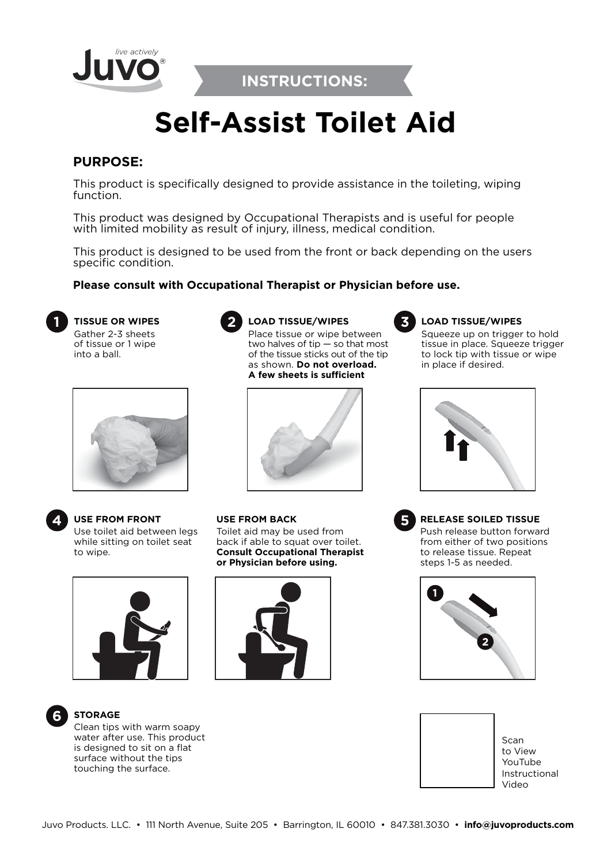

**INSTRUCTIONS:**

# **Self-Assist Toilet Aid**

# **PURPOSE:**

This product is specifically designed to provide assistance in the toileting, wiping function.

This product was designed by Occupational Therapists and is useful for people with limited mobility as result of injury, illness, medical condition.

This product is designed to be used from the front or back depending on the users specific condition.

**LOAD TISSUE/WIPES**

Place tissue or wipe between two halves of tip — so that most of the tissue sticks out of the tip as shown. **Do not overload. A few sheets is sufficient**

### **Please consult with Occupational Therapist or Physician before use.**

**TISSUE OR WIPES 1 2** Gather 2-3 sheets of tissue or 1 wipe into a ball.





**USE FROM FRONT 4 5** Use toilet aid between legs while sitting on toilet seat to wipe.





Toilet aid may be used from back if able to squat over toilet. **Consult Occupational Therapist** 

**USE FROM BACK**



#### **LOAD TISSUE/WIPES**

Squeeze up on trigger to hold tissue in place. Squeeze trigger to lock tip with tissue or wipe in place if desired.



**RELEASE SOILED TISSUE**

Push release button forward from either of two positions to release tissue. Repeat steps 1-5 as needed.





**STORAGE** Clean tips with warm soapy

water after use. This product is designed to sit on a flat surface without the tips touching the surface.



Scan to View YouTube Instructional Video